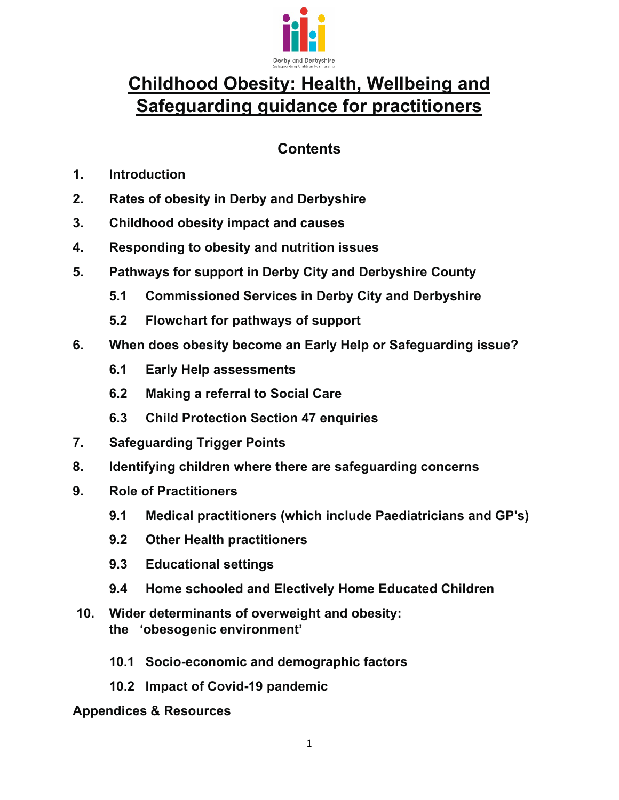

# **Childhood Obesity: Health, Wellbeing and Safeguarding guidance for practitioners**

# **Contents**

- **1. Introduction**
- **2. Rates of obesity in Derby and Derbyshire**
- **3. Childhood obesity impact and causes**
- **4. Responding to obesity and nutrition issues**
- **5. Pathways for support in Derby City and Derbyshire County** 
	- **5.1 Commissioned Services in Derby City and Derbyshire**
	- **5.2 Flowchart for pathways of support**
- **6. When does obesity become an Early Help or Safeguarding issue?** 
	- **6.1 Early Help assessments**
	- **6.2 Making a referral to Social Care**
	- **6.3 Child Protection Section 47 enquiries**
- **7. Safeguarding Trigger Points**
- **8. Identifying children where there are safeguarding concerns**
- **9. Role of Practitioners** 
	- **9.1 Medical practitioners (which include Paediatricians and GP's)**
	- **9.2 Other Health practitioners**
	- **9.3 Educational settings**
	- **9.4 Home schooled and Electively Home Educated Children**
- **10. Wider determinants of overweight and obesity: the 'obesogenic environment'** 
	- **10.1 Socio-economic and demographic factors**
	- **10.2 Impact of Covid-19 pandemic**

#### **Appendices & Resources**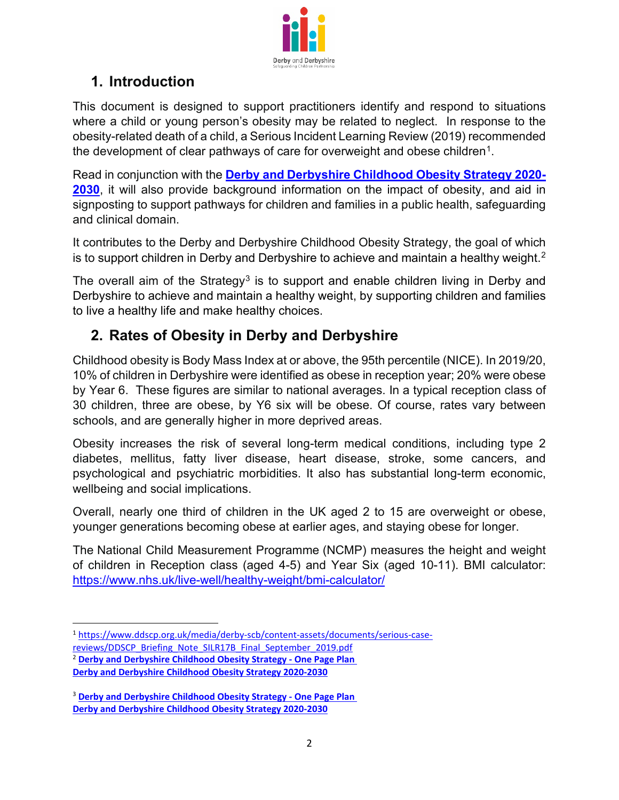

# **1. Introduction**

This document is designed to support practitioners identify and respond to situations where a child or young person's obesity may be related to neglect. In response to the obesity-related death of a child, a Serious Incident Learning Review (2019) recommended the development of clear pathways of care for overweight and obese children<sup>1</sup>.

Read in conjunction with the **[Derby and Derbyshire Childhood Obesity Strategy 2020-](https://joinedupcarederbyshire.co.uk/download_file/view/1198/183) [2030](https://joinedupcarederbyshire.co.uk/download_file/view/1198/183)**, it will also provide background information on the impact of obesity, and aid in signposting to support pathways for children and families in a public health, safeguarding and clinical domain.

It contributes to the Derby and Derbyshire Childhood Obesity Strategy, the goal of which is to support children in Derby and Derbyshire to achieve and maintain a healthy weight.<sup>[2](#page-1-1)</sup>

The overall aim of the Strategy<sup>[3](#page-1-2)</sup> is to support and enable children living in Derby and Derbyshire to achieve and maintain a healthy weight, by supporting children and families to live a healthy life and make healthy choices.

# **2. Rates of Obesity in Derby and Derbyshire**

Childhood obesity is Body Mass Index at or above, the 95th percentile (NICE). In 2019/20, 10% of children in Derbyshire were identified as obese in reception year; 20% were obese by Year 6. These figures are similar to national averages. In a typical reception class of 30 children, three are obese, by Y6 six will be obese. Of course, rates vary between schools, and are generally higher in more deprived areas.

Obesity increases the risk of several long-term medical conditions, including type 2 diabetes, mellitus, fatty liver disease, heart disease, stroke, some cancers, and psychological and psychiatric morbidities. It also has substantial long-term economic, wellbeing and social implications.

Overall, nearly one third of children in the UK aged 2 to 15 are overweight or obese, younger generations becoming obese at earlier ages, and staying obese for longer.

The National Child Measurement Programme (NCMP) measures the height and weight of children in Reception class (aged 4-5) and Year Six (aged 10-11). BMI calculator: <https://www.nhs.uk/live-well/healthy-weight/bmi-calculator/>

<span id="page-1-0"></span><sup>1</sup> [https://www.ddscp.org.uk/media/derby-scb/content-assets/documents/serious-case](https://www.ddscp.org.uk/media/derby-scb/content-assets/documents/serious-case-reviews/DDSCP_Briefing_Note_SILR17B_Final_September_2019.pdf)[reviews/DDSCP\\_Briefing\\_Note\\_SILR17B\\_Final\\_September\\_2019.pdf](https://www.ddscp.org.uk/media/derby-scb/content-assets/documents/serious-case-reviews/DDSCP_Briefing_Note_SILR17B_Final_September_2019.pdf)

<span id="page-1-1"></span><sup>2</sup> **[Derby and Derbyshire Childhood Obesity Strategy - One Page Plan](https://joinedupcarederbyshire.co.uk/download_file/view/1197/183)**

**[Derby and Derbyshire Childhood Obesity Strategy 2020-2030](https://joinedupcarederbyshire.co.uk/download_file/view/1198/183)**

<span id="page-1-2"></span><sup>3</sup> **[Derby and Derbyshire Childhood Obesity Strategy - One Page Plan](https://joinedupcarederbyshire.co.uk/download_file/view/1197/183) [Derby and Derbyshire Childhood Obesity Strategy 2020-2030](https://joinedupcarederbyshire.co.uk/download_file/view/1198/183)**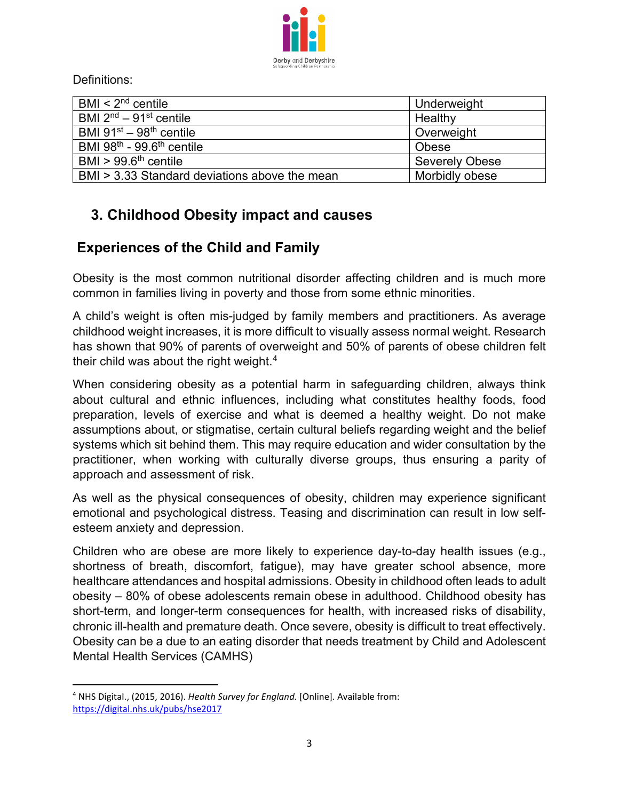

Definitions:

| BMI $<$ 2 <sup>nd</sup> centile               | Underweight           |
|-----------------------------------------------|-----------------------|
| BMI $2nd - 91st$ centile                      | Healthy               |
| BMI $91^{st} - 98^{th}$ centile               | Overweight            |
| BMI $98th - 99.6th$ centile                   | Obese                 |
| $BMI > 99.6th$ centile                        | <b>Severely Obese</b> |
| BMI > 3.33 Standard deviations above the mean | Morbidly obese        |

# **3. Childhood Obesity impact and causes**

# **Experiences of the Child and Family**

Obesity is the most common nutritional disorder affecting children and is much more common in families living in poverty and those from some ethnic minorities.

A child's weight is often mis-judged by family members and practitioners. As average childhood weight increases, it is more difficult to visually assess normal weight. Research has shown that 90% of parents of overweight and 50% of parents of obese children felt their child was about the right weight.[4](#page-2-0)

When considering obesity as a potential harm in safeguarding children, always think about cultural and ethnic influences, including what constitutes healthy foods, food preparation, levels of exercise and what is deemed a healthy weight. Do not make assumptions about, or stigmatise, certain cultural beliefs regarding weight and the belief systems which sit behind them. This may require education and wider consultation by the practitioner, when working with culturally diverse groups, thus ensuring a parity of approach and assessment of risk.

As well as the physical consequences of obesity, children may experience significant emotional and psychological distress. Teasing and discrimination can result in low selfesteem anxiety and depression.

Children who are obese are more likely to experience day-to-day health issues (e.g., shortness of breath, discomfort, fatigue), may have greater school absence, more healthcare attendances and hospital admissions. Obesity in childhood often leads to adult obesity – 80% of obese adolescents remain obese in adulthood. Childhood obesity has short-term, and longer-term consequences for health, with increased risks of disability, chronic ill-health and premature death. Once severe, obesity is difficult to treat effectively. Obesity can be a due to an eating disorder that needs treatment by Child and Adolescent Mental Health Services (CAMHS)

<span id="page-2-0"></span><sup>4</sup> NHS Digital., (2015, 2016). *Health Survey for England.* [Online]. Available from: <https://digital.nhs.uk/pubs/hse2017>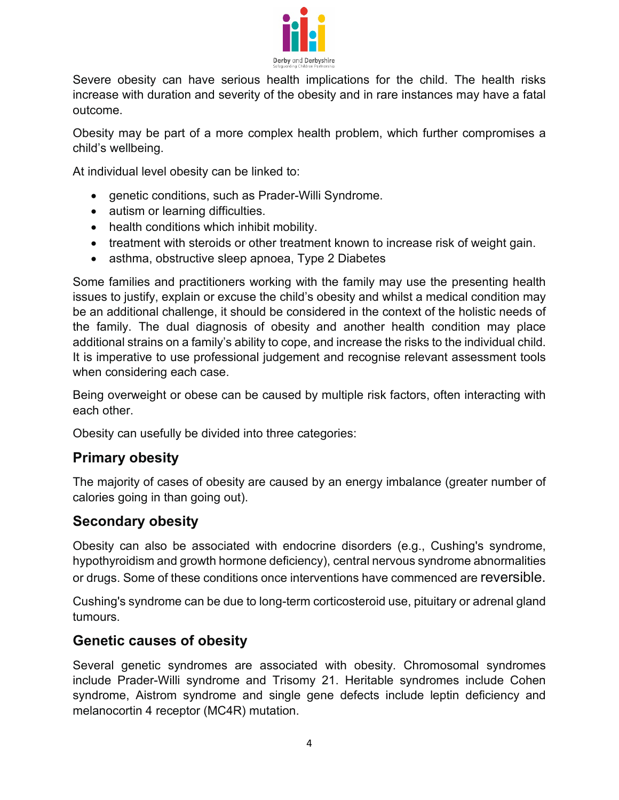

Severe obesity can have serious health implications for the child. The health risks increase with duration and severity of the obesity and in rare instances may have a fatal outcome.

Obesity may be part of a more complex health problem, which further compromises a child's wellbeing.

At individual level obesity can be linked to:

- genetic conditions, such as Prader-Willi Syndrome.
- autism or learning difficulties.
- health conditions which inhibit mobility.
- treatment with steroids or other treatment known to increase risk of weight gain.
- asthma, obstructive sleep apnoea, Type 2 Diabetes

Some families and practitioners working with the family may use the presenting health issues to justify, explain or excuse the child's obesity and whilst a medical condition may be an additional challenge, it should be considered in the context of the holistic needs of the family. The dual diagnosis of obesity and another health condition may place additional strains on a family's ability to cope, and increase the risks to the individual child. It is imperative to use professional judgement and recognise relevant assessment tools when considering each case.

Being overweight or obese can be caused by multiple risk factors, often interacting with each other.

Obesity can usefully be divided into three categories:

#### **Primary obesity**

The majority of cases of obesity are caused by an energy imbalance (greater number of calories going in than going out).

#### **Secondary obesity**

Obesity can also be associated with endocrine disorders (e.g., Cushing's syndrome, hypothyroidism and growth hormone deficiency), central nervous syndrome abnormalities or drugs. Some of these conditions once interventions have commenced are reversible.

Cushing's syndrome can be due to long-term corticosteroid use, pituitary or adrenal gland tumours.

#### **Genetic causes of obesity**

Several genetic syndromes are associated with obesity. Chromosomal syndromes include Prader-Willi syndrome and Trisomy 21. Heritable syndromes include Cohen syndrome, Aistrom syndrome and single gene defects include leptin deficiency and melanocortin 4 receptor (MC4R) mutation.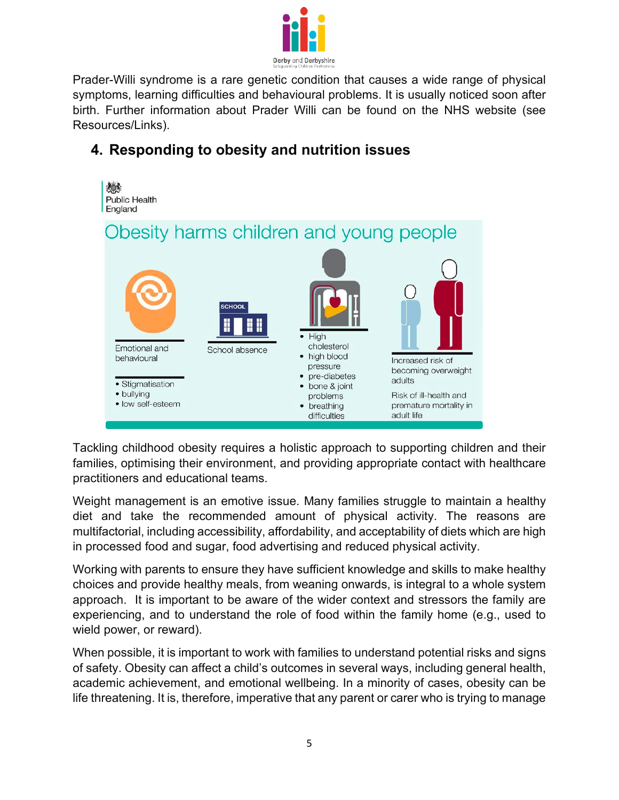

Prader-Willi syndrome is a rare genetic condition that causes a wide range of physical symptoms, learning difficulties and behavioural problems. It is usually noticed soon after birth. Further information about Prader Willi can be found on the NHS website (see Resources/Links).

# **4. Responding to obesity and nutrition issues**



Tackling childhood obesity requires a holistic approach to supporting children and their families, optimising their environment, and providing appropriate contact with healthcare practitioners and educational teams.

Weight management is an emotive issue. Many families struggle to maintain a healthy diet and take the recommended amount of physical activity. The reasons are multifactorial, including accessibility, affordability, and acceptability of diets which are high in processed food and sugar, food advertising and reduced physical activity.

Working with parents to ensure they have sufficient knowledge and skills to make healthy choices and provide healthy meals, from weaning onwards, is integral to a whole system approach. It is important to be aware of the wider context and stressors the family are experiencing, and to understand the role of food within the family home (e.g., used to wield power, or reward).

When possible, it is important to work with families to understand potential risks and signs of safety. Obesity can affect a child's outcomes in several ways, including general health, academic achievement, and emotional wellbeing. In a minority of cases, obesity can be life threatening. It is, therefore, imperative that any parent or carer who is trying to manage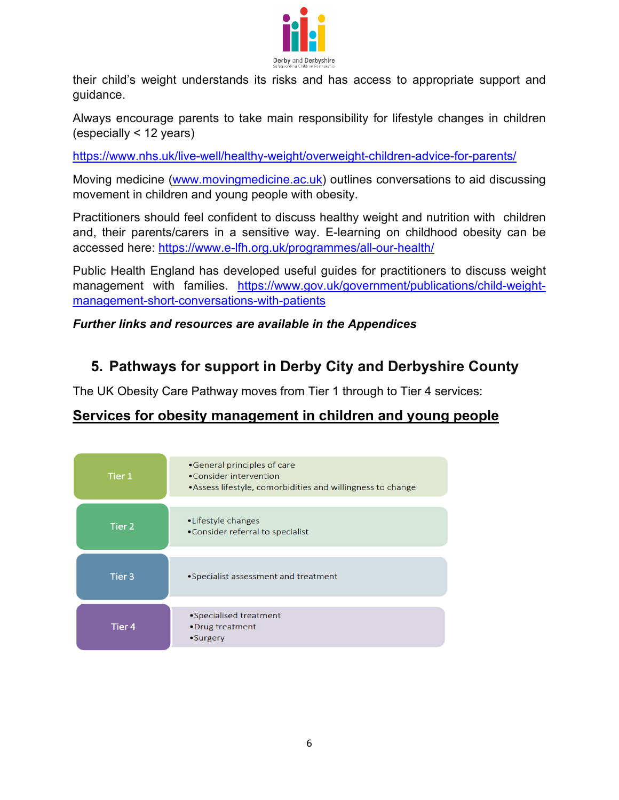

their child's weight understands its risks and has access to appropriate support and guidance.

Always encourage parents to take main responsibility for lifestyle changes in children (especially < 12 years)

<https://www.nhs.uk/live-well/healthy-weight/overweight-children-advice-for-parents/>

Moving medicine (www.movingmedicine.ac.uk) outlines conversations to aid discussing movement in children and young people with obesity.

Practitioners should feel confident to discuss healthy weight and nutrition with children and, their parents/carers in a sensitive way. E-learning on childhood obesity can be accessed here:<https://www.e-lfh.org.uk/programmes/all-our-health/>

Public Health England has developed useful guides for practitioners to discuss weight management with families. [https://www.gov.uk/government/publications/child-weight](https://www.gov.uk/government/publications/child-weight-management-short-conversations-with-patients)[management-short-conversations-with-patients](https://www.gov.uk/government/publications/child-weight-management-short-conversations-with-patients)

#### *Further links and resources are available in the Appendices*

# **5. Pathways for support in Derby City and Derbyshire County**

The UK Obesity Care Pathway moves from Tier 1 through to Tier 4 services:

# **Services for obesity management in children and young people**

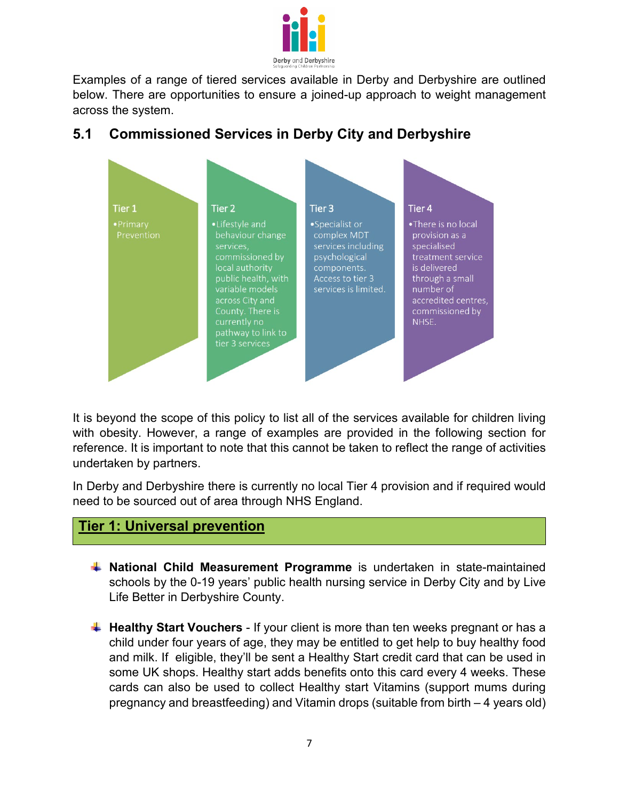

Examples of a range of tiered services available in Derby and Derbyshire are outlined below. There are opportunities to ensure a joined-up approach to weight management across the system.



# **5.1 Commissioned Services in Derby City and Derbyshire**

It is beyond the scope of this policy to list all of the services available for children living with obesity. However, a range of examples are provided in the following section for reference. It is important to note that this cannot be taken to reflect the range of activities undertaken by partners.

In Derby and Derbyshire there is currently no local Tier 4 provision and if required would need to be sourced out of area through NHS England.

#### **Tier 1: Universal prevention**

- **National Child Measurement Programme** is undertaken in state-maintained schools by the 0-19 years' public health nursing service in Derby City and by Live Life Better in Derbyshire County.
- **Healthy Start Vouchers** If your client is more than ten weeks pregnant or has a child under four years of age, they may be entitled to get help to buy healthy food and milk. If eligible, they'll be sent a Healthy Start credit card that can be used in some UK shops. Healthy start adds benefits onto this card every 4 weeks. These cards can also be used to collect Healthy start Vitamins (support mums during pregnancy and breastfeeding) and Vitamin drops (suitable from birth – 4 years old)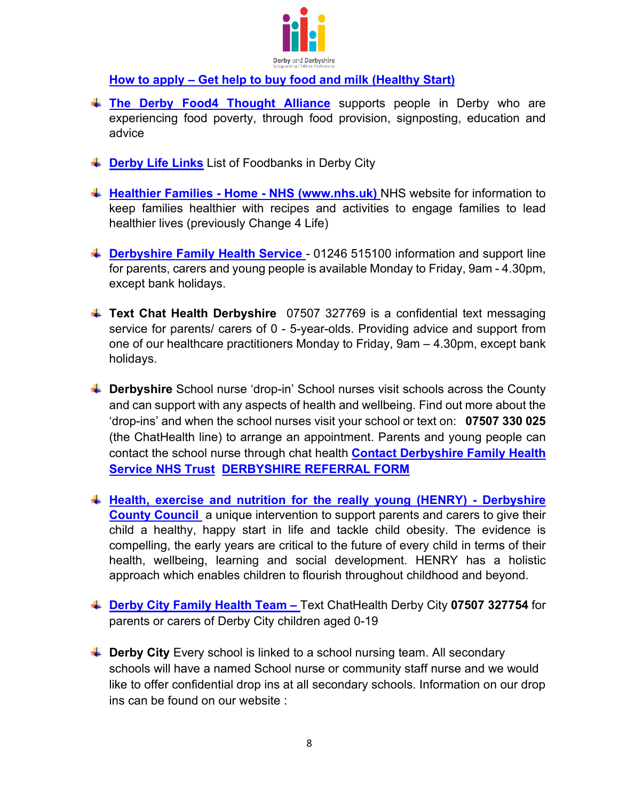

#### **[How to apply – Get help to buy food and milk \(Healthy Start\)](https://www.healthystart.nhs.uk/how-to-apply/)**

- **[The Derby Food4 Thought Alliance](https://www.communityactionderby.org.uk/latest/news/derby-food-4-thought-alliance)** supports people in Derby who are experiencing food poverty, through food provision, signposting, education and advice
- **Example 1** [Derby Life Links](https://derbycitylifelinks.org.uk/food-banks-derby/) List of Foodbanks in Derby City
- **[Healthier Families Home NHS \(www.nhs.uk\)](https://www.nhs.uk/healthier-families/)** NHS website for information to keep families healthier with recipes and activities to engage families to lead healthier lives (previously Change 4 Life)
- **[Derbyshire Family Health Service](https://www.derbyshirefamilyhealthservice.nhs.uk/)** 01246 515100 information and support line for parents, carers and young people is available Monday to Friday, 9am - 4.30pm, except bank holidays.
- **Text Chat Health Derbyshire** 07507 327769 is a confidential text messaging service for parents/ carers of 0 - 5-year-olds. Providing advice and support from one of our healthcare practitioners Monday to Friday, 9am – 4.30pm, except bank holidays.
- **L** Derbyshire School nurse 'drop-in' School nurses visit schools across the County and can support with any aspects of health and wellbeing. Find out more about the 'drop-ins' and when the school nurses visit your school or text on: **07507 330 025** (the ChatHealth line) to arrange an appointment. Parents and young people can contact the school nurse through chat health **[Contact Derbyshire Family Health](https://derbyshirefamilyhealthservice.nhs.uk/contact-us)  [Service NHS Trust](https://derbyshirefamilyhealthservice.nhs.uk/contact-us) [DERBYSHIRE REFERRAL FORM](https://www.derbyshirefamilyhealthservice.nhs.uk/contact-us/school-nursing-referral-form)**
- **[Health, exercise and nutrition for the really young \(HENRY\) Derbyshire](https://www.derbyshire.gov.uk/social-health/health-and-wellbeing/your-health/children-and-young-peoples-health/henry/health-exercise-and-nutrition-for-the-really-young-henry.aspx)  [County Council](https://www.derbyshire.gov.uk/social-health/health-and-wellbeing/your-health/children-and-young-peoples-health/henry/health-exercise-and-nutrition-for-the-really-young-henry.aspx)** a unique intervention to support parents and carers to give their child a healthy, happy start in life and tackle child obesity. The evidence is compelling, the early years are critical to the future of every child in terms of their health, wellbeing, learning and social development. HENRY has a holistic approach which enables children to flourish throughout childhood and beyond.
- **[Derby City Family Health Team](https://www.derbyshirehealthcareft.nhs.uk/about-us/latest-news/text-messaging-advice-service-launched-derbys-young-people-and-parents)** Text ChatHealth Derby City **07507 327754** for parents or carers of Derby City children aged 0-19
- **L** Derby City Every school is linked to a school nursing team. All secondary schools will have a named School nurse or community staff nurse and we would like to offer confidential drop ins at all secondary schools. Information on our drop ins can be found on our website :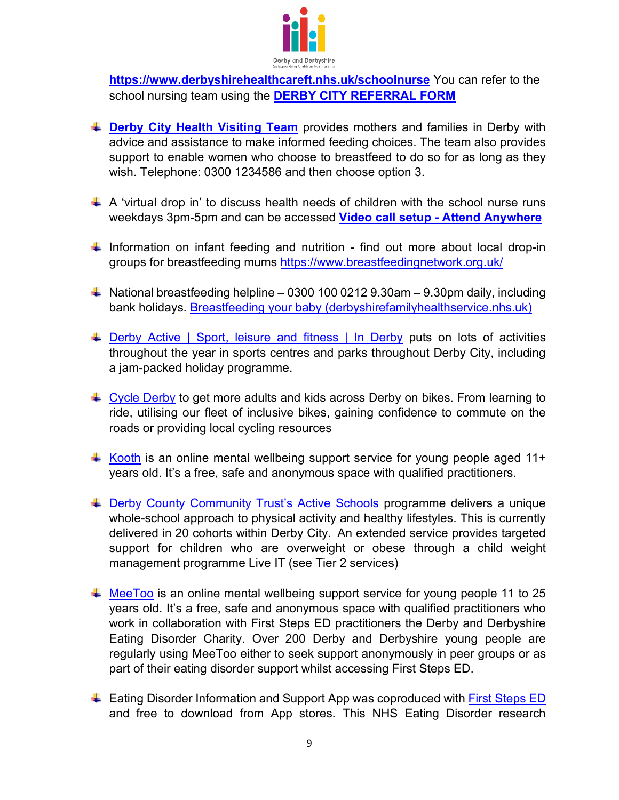

**<https://www.derbyshirehealthcareft.nhs.uk/schoolnurse>** You can refer to the school nursing team using the **[DERBY CITY REFERRAL FORM](https://view.officeapps.live.com/op/view.aspx?src=https%3A%2F%2Fwww.derbyshirehealthcareft.nhs.uk%2Fapplication%2Ffiles%2F2216%2F2559%2F0321%2FSchool_Nursing_Referral_form_2021.docx&wdOrigin=BROWSELINK)**

- **Derby City [Health Visiting Team](https://www.derbyshirehealthcareft.nhs.uk/services/family-health-derby-city/health-visiting-0-5-years)** provides mothers and families in Derby with advice and assistance to make informed feeding choices. The team also provides support to enable women who choose to breastfeed to do so for as long as they wish. Telephone: 0300 1234586 and then choose option 3.
- $\uparrow$  A 'virtual drop in' to discuss health needs of children with the school nurse runs weekdays 3pm-5pm and can be accessed **[Video call setup - Attend Anywhere](https://england.nhs.attendanywhere.com/ce/?apikey=0e13866b-b613-4660-a7bc-d217c4a68254&nid=j6lFnyzBw)**
- $\ddot$  Information on infant feeding and nutrition find out more about local drop-in groups for breastfeeding mums<https://www.breastfeedingnetwork.org.uk/>
- $\ddot{+}$  National breastfeeding helpline 0300 100 0212 9.30am 9.30pm daily, including bank holidays. [Breastfeeding your baby \(derbyshirefamilyhealthservice.nhs.uk\)](https://www.derbyshirefamilyhealthservice.nhs.uk/our-services/0-5-years/infant-feeding-and-nutrition/breastfeeding)
- **EXTERGE PHILIPY Active | Sport, leisure and fitness | In Derby puts on lots of activities** throughout the year in sports centres and parks throughout Derby City, including a jam-packed holiday programme.
- $\overline{+}$  [Cycle Derby](https://www.cyclederby.co.uk/) to get more adults and kids across Derby on bikes. From learning to ride, utilising our fleet of inclusive bikes, gaining confidence to commute on the roads or providing local cycling resources
- $\overline{+}$  [Kooth](https://www.kooth.com/) is an online mental wellbeing support service for young people aged 11+ years old. It's a free, safe and anonymous space with qualified practitioners.
- ↓ [Derby County Community Trust's Active Schools](https://www.derbycountycommunitytrust.com/programmes/schools/active-schools) programme delivers a unique whole-school approach to physical activity and healthy lifestyles. This is currently delivered in 20 cohorts within Derby City. An extended service provides targeted support for children who are overweight or obese through a child weight management programme Live IT (see Tier 2 services)
- $\overline{+}$  [MeeToo](https://www.meetoo.help/) is an online mental wellbeing support service for young people 11 to 25 years old. It's a free, safe and anonymous space with qualified practitioners who work in collaboration with First Steps ED practitioners the Derby and Derbyshire Eating Disorder Charity. Over 200 Derby and Derbyshire young people are regularly using MeeToo either to seek support anonymously in peer groups or as part of their eating disorder support whilst accessing First Steps ED.
- ↓ Eating Disorder Information and Support App was coproduced with [First Steps ED](https://firststepsed.co.uk/) and free to download from App stores. This NHS Eating Disorder research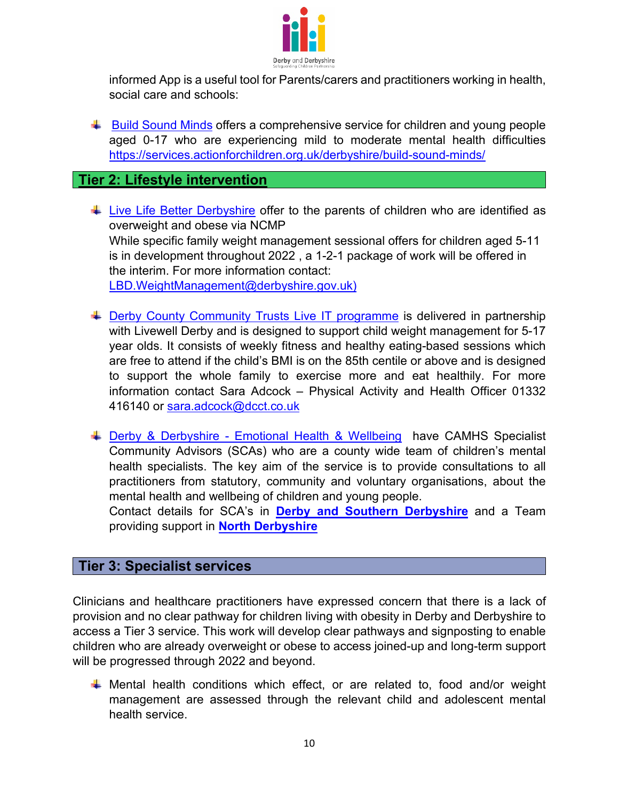

informed App is a useful tool for Parents/carers and practitioners working in health, social care and schools:

 $\ddot{\phantom{1}}$  [Build Sound Minds](https://services.actionforchildren.org.uk/derbyshire/build-sound-minds/) offers a comprehensive service for children and young people aged 0-17 who are experiencing mild to moderate mental health difficulties <https://services.actionforchildren.org.uk/derbyshire/build-sound-minds/>

#### **Tier 2: Lifestyle intervention**

- $\ddot$  [Live Life Better Derbyshire](https://www.livelifebetterderbyshire.org.uk/services/family-health/healthy-families-programme.aspx) offer to the parents of children who are identified as overweight and obese via NCMP While specific family weight management sessional offers for children aged 5-11 is in development throughout 2022 , a 1-2-1 package of work will be offered in the interim. For more information contact: [LBD.WeightManagement@derbyshire.gov.uk\)](mailto:LBD.WeightManagement@derbyshire.gov.uk)
- ↓ [Derby County Community Trusts Live IT programme](https://www.derbycountycommunitytrust.com/programmes/health/live-it) is delivered in partnership with Livewell Derby and is designed to support child weight management for 5-17 year olds. It consists of weekly fitness and healthy eating-based sessions which are free to attend if the child's BMI is on the 85th centile or above and is designed to support the whole family to exercise more and eat healthily. For more information contact Sara Adcock – Physical Activity and Health Officer 01332 416140 or [sara.adcock@dcct.co.uk](mailto:sara.adcock@dcct.co.uk)
- + [Derby & Derbyshire Emotional Health & Wellbeing](https://derbyandderbyshireemotionalhealthandwellbeing.uk/professionals/emotional-wellbeing-support) have CAMHS Specialist Community Advisors (SCAs) who are a county wide team of children's mental health specialists. The key aim of the service is to provide consultations to all practitioners from statutory, community and voluntary organisations, about the mental health and wellbeing of children and young people.

Contact details for SCA's in **[Derby and Southern Derbyshire](https://www.derbyshirehealthcareft.nhs.uk/services/childrens-mental-health-services-camhs-derby-and-southern-derbyshire/im-professional/specialist-community-advisors)** and a Team providing support in **[North Derbyshire](https://www.camhsnorthderbyshire.nhs.uk/specialist-community-advisors)**

#### **Tier 3: Specialist services**

Clinicians and healthcare practitioners have expressed concern that there is a lack of provision and no clear pathway for children living with obesity in Derby and Derbyshire to access a Tier 3 service. This work will develop clear pathways and signposting to enable children who are already overweight or obese to access joined-up and long-term support will be progressed through 2022 and beyond.

 $\ddot$  Mental health conditions which effect, or are related to, food and/or weight management are assessed through the relevant child and adolescent mental health service.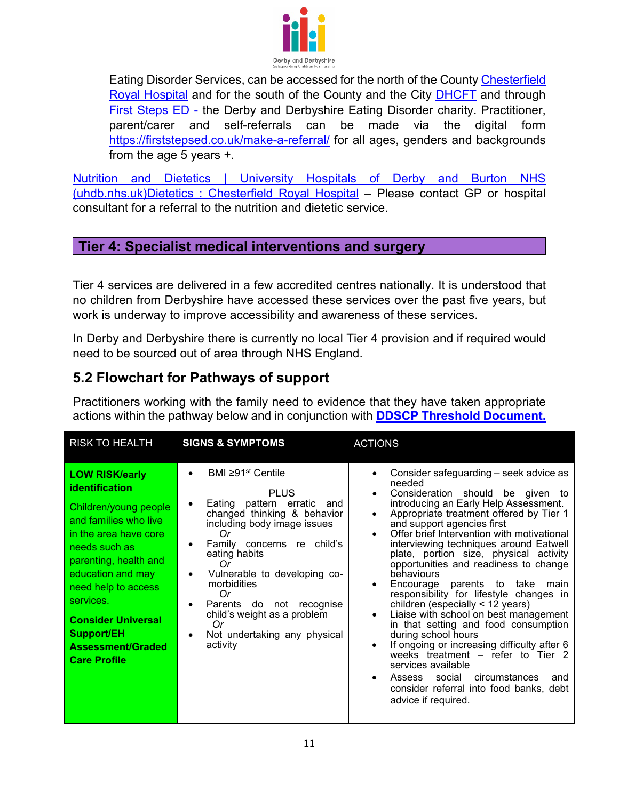

Eating Disorder Services, can be accessed for the north of the County [Chesterfield](https://www.camhsnorthderbyshire.nhs.uk/eating-disorders)  [Royal Hospital](https://www.camhsnorthderbyshire.nhs.uk/eating-disorders) and for the south of the County and the City [DHCFT](https://www.derbyshirehealthcareft.nhs.uk/services/eating-disorders) and through [First Steps ED](https://firststepsed.co.uk/) [-](https://firststepsed.co.uk/) the Derby and Derbyshire Eating Disorder charity. Practitioner, parent/carer and self-referrals can be made via the digital form <https://firststepsed.co.uk/make-a-referral/> for all ages, genders and backgrounds from the age 5 years +.

[Nutrition and Dietetics | University Hospitals of Derby and Burton NHS](https://www.uhdb.nhs.uk/service-nutrition-and-dietetics/)  [\(uhdb.nhs.uk\)](https://www.uhdb.nhs.uk/service-nutrition-and-dietetics/)[Dietetics : Chesterfield Royal Hospital](https://www.chesterfieldroyal.nhs.uk/our-services/dietetics) – Please contact GP or hospital consultant for a referral to the nutrition and dietetic service.

#### **Tier 4: Specialist medical interventions and surgery**

Tier 4 services are delivered in a few accredited centres nationally. It is understood that no children from Derbyshire have accessed these services over the past five years, but work is underway to improve accessibility and awareness of these services.

In Derby and Derbyshire there is currently no local Tier 4 provision and if required would need to be sourced out of area through NHS England.

#### **5.2 Flowchart for Pathways of support**

Practitioners working with the family need to evidence that they have taken appropriate actions within the pathway below and in conjunction with **[DDSCP Threshold Document.](https://derbyshirescbs.proceduresonline.com/docs_library.html#guidance)**

| <b>RISK TO HEALTH</b>                                                                                                                                                                                                                                                                                                             | <b>SIGNS &amp; SYMPTOMS</b>                                                                                                                                                                                                                                                                                                                                                           | <b>ACTIONS</b>                                                                                                                                                                                                                                                                                                                                                                                                                                                                                                                                                                                                                                                                                                                                                                                                                                                                                                                   |
|-----------------------------------------------------------------------------------------------------------------------------------------------------------------------------------------------------------------------------------------------------------------------------------------------------------------------------------|---------------------------------------------------------------------------------------------------------------------------------------------------------------------------------------------------------------------------------------------------------------------------------------------------------------------------------------------------------------------------------------|----------------------------------------------------------------------------------------------------------------------------------------------------------------------------------------------------------------------------------------------------------------------------------------------------------------------------------------------------------------------------------------------------------------------------------------------------------------------------------------------------------------------------------------------------------------------------------------------------------------------------------------------------------------------------------------------------------------------------------------------------------------------------------------------------------------------------------------------------------------------------------------------------------------------------------|
| <b>LOW RISK/early</b><br><b>identification</b><br>Children/young people<br>and families who live<br>in the area have core<br>needs such as<br>parenting, health and<br>education and may<br>need help to access<br>services.<br><b>Consider Universal</b><br><b>Support/EH</b><br><b>Assessment/Graded</b><br><b>Care Profile</b> | BMI $\geq$ 91 <sup>st</sup> Centile<br><b>PLUS</b><br>Eating pattern erratic and<br>changed thinking & behavior<br>including body image issues<br>Оr<br>Family concerns re child's<br>eating habits<br>Or<br>Vulnerable to developing co-<br>٠<br>morbidities<br>Or<br>Parents do not recognise<br>٠<br>child's weight as a problem<br>Or<br>Not undertaking any physical<br>activity | Consider safeguarding – seek advice as<br>$\bullet$<br>needed<br>Consideration should be given to<br>$\bullet$<br>introducing an Early Help Assessment.<br>Appropriate treatment offered by Tier 1<br>$\bullet$<br>and support agencies first<br>Offer brief Intervention with motivational<br>interviewing techniques around Eatwell<br>plate, portion size, physical activity<br>opportunities and readiness to change<br>behaviours<br>Encourage parents to take<br>main<br>$\bullet$<br>responsibility for lifestyle changes in<br>children (especially $<$ 12 years)<br>Liaise with school on best management<br>$\bullet$<br>in that setting and food consumption<br>during school hours<br>If ongoing or increasing difficulty after 6<br>$\bullet$<br>weeks treatment - refer to Tier 2<br>services available<br>Assess social<br>circumstances<br>and<br>consider referral into food banks, debt<br>advice if required. |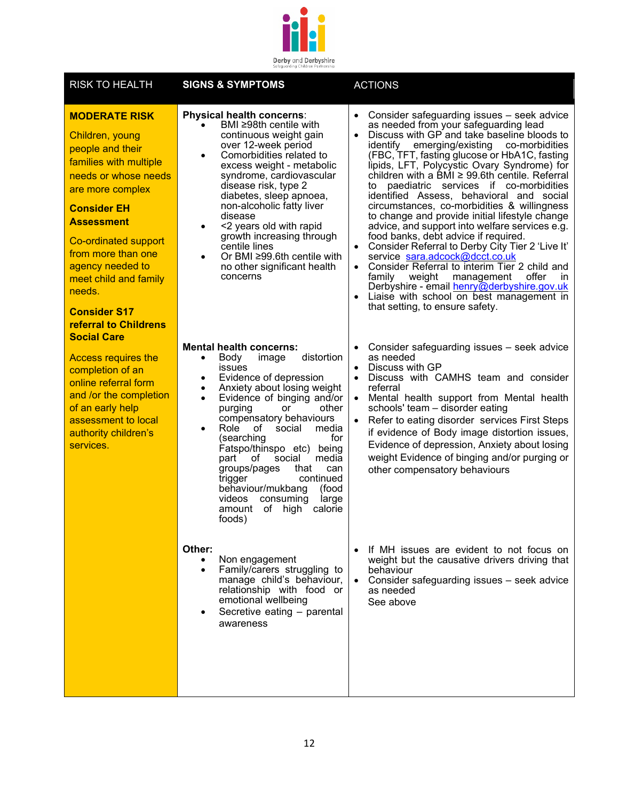

| <b>RISK TO HEALTH</b>                                                                                                                                                                                                                                                                                                                                   | <b>SIGNS &amp; SYMPTOMS</b>                                                                                                                                                                                                                                                                                                                                                                                                                                                                                                                                  | <b>ACTIONS</b>                                                                                                                                                                                                                                                                                                                                                                                                                                                                                                                                                                                                                                                                                                                                                                                                                                                                                                                                                                                                    |
|---------------------------------------------------------------------------------------------------------------------------------------------------------------------------------------------------------------------------------------------------------------------------------------------------------------------------------------------------------|--------------------------------------------------------------------------------------------------------------------------------------------------------------------------------------------------------------------------------------------------------------------------------------------------------------------------------------------------------------------------------------------------------------------------------------------------------------------------------------------------------------------------------------------------------------|-------------------------------------------------------------------------------------------------------------------------------------------------------------------------------------------------------------------------------------------------------------------------------------------------------------------------------------------------------------------------------------------------------------------------------------------------------------------------------------------------------------------------------------------------------------------------------------------------------------------------------------------------------------------------------------------------------------------------------------------------------------------------------------------------------------------------------------------------------------------------------------------------------------------------------------------------------------------------------------------------------------------|
| <b>MODERATE RISK</b><br>Children, young<br>people and their<br>families with multiple<br>needs or whose needs<br>are more complex<br><b>Consider EH</b><br><b>Assessment</b><br>Co-ordinated support<br>from more than one<br>agency needed to<br>meet child and family<br>needs.<br><b>Consider S17</b><br>referral to Childrens<br><b>Social Care</b> | Physical health concerns:<br>BMI ≥98th centile with<br>continuous weight gain<br>over 12-week period<br>Comorbidities related to<br>excess weight - metabolic<br>syndrome, cardiovascular<br>disease risk, type 2<br>diabetes, sleep apnoea,<br>non-alcoholic fatty liver<br>disease<br><2 years old with rapid<br>$\bullet$<br>growth increasing through<br>centile lines<br>Or BMI $\geq$ 99.6th centile with<br>$\bullet$<br>no other significant health<br>concerns                                                                                      | Consider safeguarding issues - seek advice<br>$\bullet$<br>as needed from your safeguarding lead<br>Discuss with GP and take baseline bloods to<br>$\bullet$<br>identify<br>emerging/existing co-morbidities<br>(FBC, TFT, fasting glucose or HbA1C, fasting<br>lipids, LFT, Polycystic Ovary Syndrome) for<br>children with a $\overline{BM}$ $\geq$ 99.6th centile. Referral<br>paediatric services if co-morbidities<br>to<br>identified Assess, behavioral and social<br>circumstances, co-morbidities & willingness<br>to change and provide initial lifestyle change<br>advice, and support into welfare services e.g.<br>food banks, debt advice if required.<br>Consider Referral to Derby City Tier 2 'Live It'<br>$\bullet$<br>service sara.adcock@dcct.co.uk<br>Consider Referral to interim Tier 2 child and<br>family weight<br>management<br>offer<br>in.<br>Derbyshire - email henry@derbyshire.gov.uk<br>Liaise with school on best management in<br>$\bullet$<br>that setting, to ensure safety. |
| <b>Access requires the</b><br>completion of an<br>online referral form<br>and /or the completion<br>of an early help<br>assessment to local<br>authority children's<br>services.                                                                                                                                                                        | <b>Mental health concerns:</b><br>distortion<br>Body<br>image<br>$\bullet$<br>issues<br>Evidence of depression<br>$\bullet$<br>Anxiety about losing weight<br>٠<br>Evidence of binging and/or<br>$\bullet$<br>other<br>purging<br>or<br>compensatory behaviours<br>Role of<br>social<br>media<br>$\bullet$<br>(searching<br>for<br>Fatspo/thinspo etc) being<br>media<br>part<br>of<br>social<br>groups/pages<br>that<br>can<br>continued<br>trigger<br>behaviour/mukbang<br>(food<br>videos<br>consuming<br>large<br>of high<br>calorie<br>amount<br>foods) | Consider safeguarding issues - seek advice<br>$\bullet$<br>as needed<br>Discuss with GP<br>$\bullet$<br>Discuss with CAMHS team and consider<br>$\bullet$<br>referral<br>• Mental health support from Mental health<br>schools' team - disorder eating<br>Refer to eating disorder services First Steps<br>$\bullet$<br>if evidence of Body image distortion issues,<br>Evidence of depression, Anxiety about losing<br>weight Evidence of binging and/or purging or<br>other compensatory behaviours                                                                                                                                                                                                                                                                                                                                                                                                                                                                                                             |
|                                                                                                                                                                                                                                                                                                                                                         | Other:<br>Non engagement<br>Family/carers struggling to<br>manage child's behaviour,<br>relationship with food or<br>emotional wellbeing<br>Secretive eating - parental<br>awareness                                                                                                                                                                                                                                                                                                                                                                         | If MH issues are evident to not focus on<br>$\bullet$<br>weight but the causative drivers driving that<br>behaviour<br>• Consider safeguarding issues - seek advice<br>as needed<br>See above                                                                                                                                                                                                                                                                                                                                                                                                                                                                                                                                                                                                                                                                                                                                                                                                                     |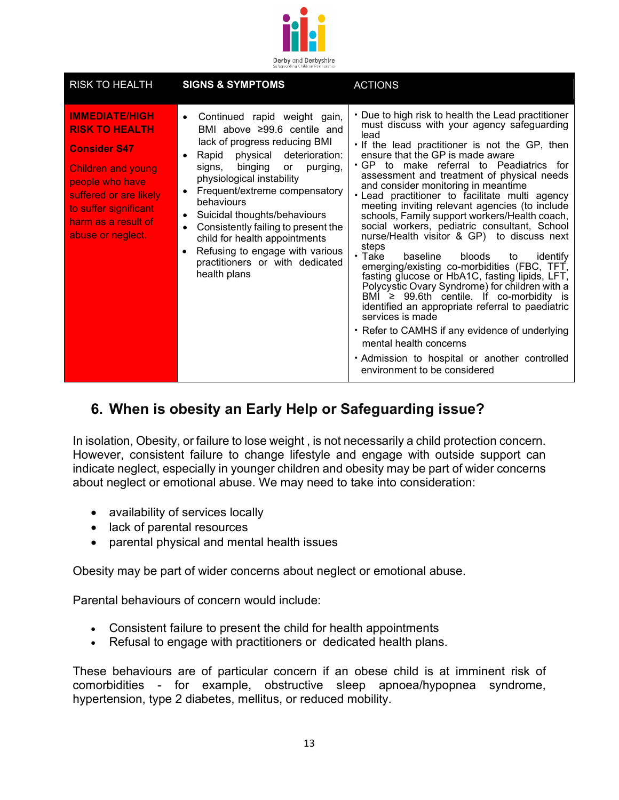

| <b>RISK TO HEALTH</b>                                                                                                                                                                                                | <b>SIGNS &amp; SYMPTOMS</b>                                                                                                                                                                                                                                                                                                                                                                                                                                                                                  | <b>ACTIONS</b>                                                                                                                                                                                                                                                                                                                                                                                                                                                                                                                                                                                                                                                                                                                                                                                                                                                                                                                                                                                                                                                                               |  |
|----------------------------------------------------------------------------------------------------------------------------------------------------------------------------------------------------------------------|--------------------------------------------------------------------------------------------------------------------------------------------------------------------------------------------------------------------------------------------------------------------------------------------------------------------------------------------------------------------------------------------------------------------------------------------------------------------------------------------------------------|----------------------------------------------------------------------------------------------------------------------------------------------------------------------------------------------------------------------------------------------------------------------------------------------------------------------------------------------------------------------------------------------------------------------------------------------------------------------------------------------------------------------------------------------------------------------------------------------------------------------------------------------------------------------------------------------------------------------------------------------------------------------------------------------------------------------------------------------------------------------------------------------------------------------------------------------------------------------------------------------------------------------------------------------------------------------------------------------|--|
| <b>IMMEDIATE/HIGH</b><br><b>RISK TO HEALTH</b><br><b>Consider S47</b><br><b>Children and young</b><br>people who have<br>suffered or are likely<br>to suffer significant<br>harm as a result of<br>abuse or neglect. | Continued rapid weight gain,<br>$\bullet$<br>BMI above ≥99.6 centile and<br>lack of progress reducing BMI<br>Rapid physical deterioration:<br>binging or<br>signs,<br>purging,<br>physiological instability<br>Frequent/extreme compensatory<br>$\bullet$<br>behaviours<br>Suicidal thoughts/behaviours<br>$\bullet$<br>Consistently failing to present the<br>$\bullet$<br>child for health appointments<br>Refusing to engage with various<br>$\bullet$<br>practitioners or with dedicated<br>health plans | • Due to high risk to health the Lead practitioner<br>must discuss with your agency safeguarding<br>lead<br>. If the lead practitioner is not the GP, then<br>ensure that the GP is made aware<br>• GP to make referral to Peadiatrics for<br>assessment and treatment of physical needs<br>and consider monitoring in meantime<br>• Lead practitioner to facilitate multi agency<br>meeting inviting relevant agencies (to include<br>schools, Family support workers/Health coach,<br>social workers, pediatric consultant, School<br>nurse/Health visitor & GP) to discuss next<br>steps<br>$\cdot$ Take<br>baseline<br>bloods<br>to<br>identify<br>emerging/existing co-morbidities (FBC, TFT,<br>fasting glucose or HbA1C, fasting lipids, LFT,<br>Polycystic Ovary Syndrome) for children with a<br>BMI $\geq$ 99.6th centile. If co-morbidity is<br>identified an appropriate referral to paediatric<br>services is made<br>• Refer to CAMHS if any evidence of underlying<br>mental health concerns<br>. Admission to hospital or another controlled<br>environment to be considered |  |

## **6. When is obesity an Early Help or Safeguarding issue?**

In isolation, Obesity, or failure to lose weight , is not necessarily a child protection concern. However, consistent failure to change lifestyle and engage with outside support can indicate neglect, especially in younger children and obesity may be part of wider concerns about neglect or emotional abuse. We may need to take into consideration:

- availability of services locally
- lack of parental resources
- parental physical and mental health issues

Obesity may be part of wider concerns about neglect or emotional abuse.

Parental behaviours of concern would include:

- Consistent failure to present the child for health appointments
- Refusal to engage with practitioners or dedicated health plans.

These behaviours are of particular concern if an obese child is at imminent risk of comorbidities - for example, obstructive sleep apnoea/hypopnea syndrome, hypertension, type 2 diabetes, mellitus, or reduced mobility.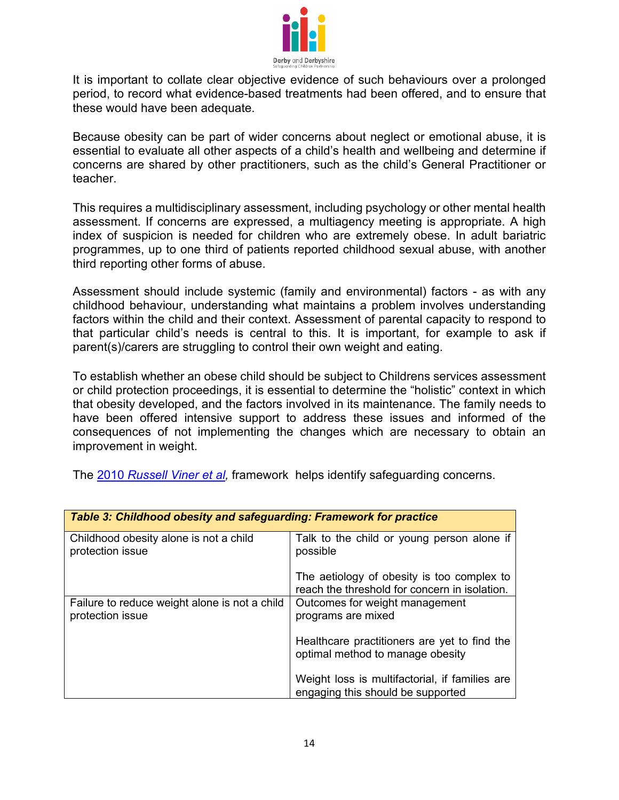

It is important to collate clear objective evidence of such behaviours over a prolonged period, to record what evidence-based treatments had been offered, and to ensure that these would have been adequate.

Because obesity can be part of wider concerns about neglect or emotional abuse, it is essential to evaluate all other aspects of a child's health and wellbeing and determine if concerns are shared by other practitioners, such as the child's General Practitioner or teacher.

This requires a multidisciplinary assessment, including psychology or other mental health assessment. If concerns are expressed, a multiagency meeting is appropriate. A high index of suspicion is needed for children who are extremely obese. In adult bariatric programmes, up to one third of patients reported childhood sexual abuse, with another third reporting other forms of abuse.

Assessment should include systemic (family and environmental) factors - as with any childhood behaviour, understanding what maintains a problem involves understanding factors within the child and their context. Assessment of parental capacity to respond to that particular child's needs is central to this. It is important, for example to ask if parent(s)/carers are struggling to control their own weight and eating.

To establish whether an obese child should be subject to Childrens services assessment or child protection proceedings, it is essential to determine the "holistic" context in which that obesity developed, and the factors involved in its maintenance. The family needs to have been offered intensive support to address these issues and informed of the consequences of not implementing the changes which are necessary to obtain an improvement in weight.

The 2010 *[Russell Viner et al,](https://www.bmj.com/content/341/bmj.c3074)* framework helps identify safeguarding concerns.

| Table 3: Childhood obesity and safeguarding: Framework for practice |                                                                                             |  |
|---------------------------------------------------------------------|---------------------------------------------------------------------------------------------|--|
| Childhood obesity alone is not a child<br>protection issue          | Talk to the child or young person alone if<br>possible                                      |  |
|                                                                     | The aetiology of obesity is too complex to<br>reach the threshold for concern in isolation. |  |
| Failure to reduce weight alone is not a child<br>protection issue   | Outcomes for weight management<br>programs are mixed                                        |  |
|                                                                     | Healthcare practitioners are yet to find the<br>optimal method to manage obesity            |  |
|                                                                     | Weight loss is multifactorial, if families are<br>engaging this should be supported         |  |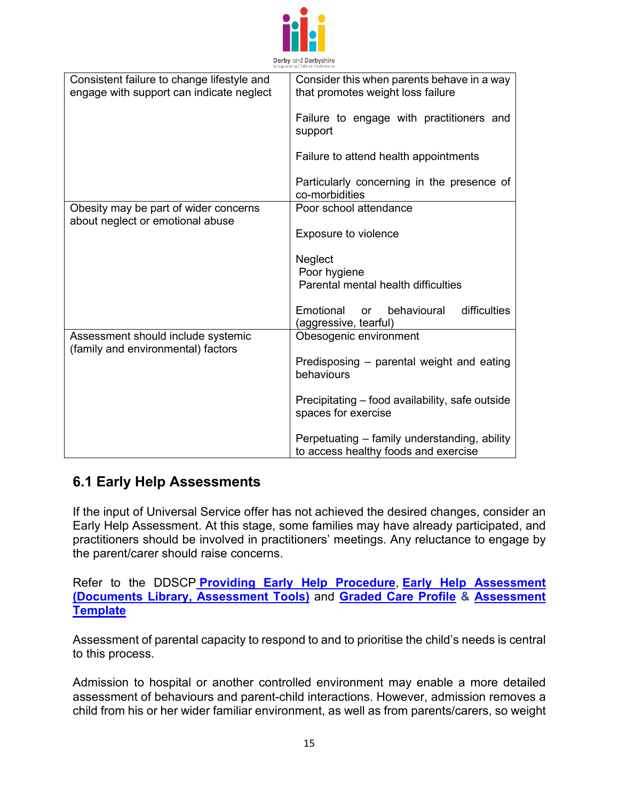

| Consistent failure to change lifestyle and<br>engage with support can indicate neglect | Consider this when parents behave in a way<br>that promotes weight loss failure      |  |
|----------------------------------------------------------------------------------------|--------------------------------------------------------------------------------------|--|
|                                                                                        | Failure to engage with practitioners and<br>support                                  |  |
|                                                                                        | Failure to attend health appointments                                                |  |
|                                                                                        | Particularly concerning in the presence of<br>co-morbidities                         |  |
| Obesity may be part of wider concerns<br>about neglect or emotional abuse              | Poor school attendance                                                               |  |
|                                                                                        | Exposure to violence                                                                 |  |
|                                                                                        | Neglect                                                                              |  |
|                                                                                        | Poor hygiene                                                                         |  |
|                                                                                        | Parental mental health difficulties                                                  |  |
|                                                                                        | Emotional<br>behavioural<br>difficulties<br><b>or</b>                                |  |
|                                                                                        | (aggressive, tearful)                                                                |  |
| Assessment should include systemic<br>(family and environmental) factors               | Obesogenic environment                                                               |  |
|                                                                                        | Predisposing - parental weight and eating<br>behaviours                              |  |
|                                                                                        | Precipitating - food availability, safe outside<br>spaces for exercise               |  |
|                                                                                        | Perpetuating - family understanding, ability<br>to access healthy foods and exercise |  |

#### **6.1 Early Help Assessments**

If the input of Universal Service offer has not achieved the desired changes, consider an Early Help Assessment. At this stage, some families may have already participated, and practitioners should be involved in practitioners' meetings. Any reluctance to engage by the parent/carer should raise concerns.

Refer to the DDSCP **[Providing Early Help Procedure](https://derbyshirescbs.proceduresonline.com/p_prov_early_help.html)**, **[Early Help Assessment](https://derbyshirescbs.proceduresonline.com/docs_library.html)  [\(Documents Library, Assessment Tools\)](https://derbyshirescbs.proceduresonline.com/docs_library.html)** and **[Graded Care Profile](https://www.proceduresonline.com/derbyshire/scbs/user_controlled_lcms_area/uploaded_files/DDSCP%20Graded%20Care%20Profile%20GUIDANCE%20FINAL%20April%202020.pdf) & [Assessment](https://www.proceduresonline.com/derbyshire/scbs/user_controlled_lcms_area/uploaded_files/DDSCP%20Graded%20Care%20Profile%20Assessment%20Tool%20Template%20FINAL%20April%202020.pdf)  [Template](https://www.proceduresonline.com/derbyshire/scbs/user_controlled_lcms_area/uploaded_files/DDSCP%20Graded%20Care%20Profile%20Assessment%20Tool%20Template%20FINAL%20April%202020.pdf)**

Assessment of parental capacity to respond to and to prioritise the child's needs is central to this process.

Admission to hospital or another controlled environment may enable a more detailed assessment of behaviours and parent-child interactions. However, admission removes a child from his or her wider familiar environment, as well as from parents/carers, so weight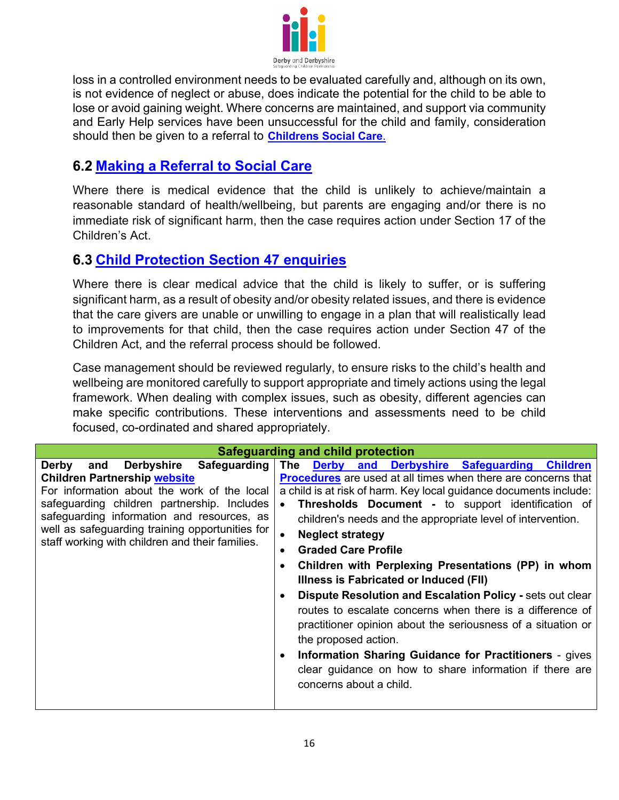

loss in a controlled environment needs to be evaluated carefully and, although on its own, is not evidence of neglect or abuse, does indicate the potential for the child to be able to lose or avoid gaining weight. Where concerns are maintained, and support via community and Early Help services have been unsuccessful for the child and family, consideration should then be given to a referral to **[Childrens Social Care](https://derbyshirescbs.proceduresonline.com/p_making_ref_soc_care.html)**.

### **6.2 [Making a Referral to Social Care](https://derbyshirescbs.proceduresonline.com/p_making_ref_soc_care.html)**

Where there is medical evidence that the child is unlikely to achieve/maintain a reasonable standard of health/wellbeing, but parents are engaging and/or there is no immediate risk of significant harm, then the case requires action under Section 17 of the Children's Act.

#### **6.3 [Child Protection Section 47 enquiries](https://derbyshirescbs.proceduresonline.com/p_ch_protection_enq.html)**

Where there is clear medical advice that the child is likely to suffer, or is suffering significant harm, as a result of obesity and/or obesity related issues, and there is evidence that the care givers are unable or unwilling to engage in a plan that will realistically lead to improvements for that child, then the case requires action under Section 47 of the Children Act, and the referral process should be followed.

Case management should be reviewed regularly, to ensure risks to the child's health and wellbeing are monitored carefully to support appropriate and timely actions using the legal framework. When dealing with complex issues, such as obesity, different agencies can make specific contributions. These interventions and assessments need to be child focused, co-ordinated and shared appropriately.

| Safeguarding and child protection               |                                                                      |  |  |
|-------------------------------------------------|----------------------------------------------------------------------|--|--|
| Derbyshire Safeguarding<br>Derby<br>and         | Derby and Derbyshire Safeguarding<br>The<br><b>Children</b>          |  |  |
| <b>Children Partnership website</b>             | <b>Procedures</b> are used at all times when there are concerns that |  |  |
| For information about the work of the local     | a child is at risk of harm. Key local guidance documents include:    |  |  |
| safeguarding children partnership. Includes     | Thresholds Document - to support identification of                   |  |  |
| safeguarding information and resources, as      | children's needs and the appropriate level of intervention.          |  |  |
| well as safeguarding training opportunities for | <b>Neglect strategy</b>                                              |  |  |
| staff working with children and their families. | <b>Graded Care Profile</b>                                           |  |  |
|                                                 | Children with Perplexing Presentations (PP) in whom                  |  |  |
|                                                 | Illness is Fabricated or Induced (FII)                               |  |  |
|                                                 | Dispute Resolution and Escalation Policy - sets out clear            |  |  |
|                                                 | routes to escalate concerns when there is a difference of            |  |  |
|                                                 | practitioner opinion about the seriousness of a situation or         |  |  |
|                                                 | the proposed action.                                                 |  |  |
|                                                 |                                                                      |  |  |
|                                                 | <b>Information Sharing Guidance for Practitioners - gives</b>        |  |  |
|                                                 | clear guidance on how to share information if there are              |  |  |
|                                                 | concerns about a child.                                              |  |  |
|                                                 |                                                                      |  |  |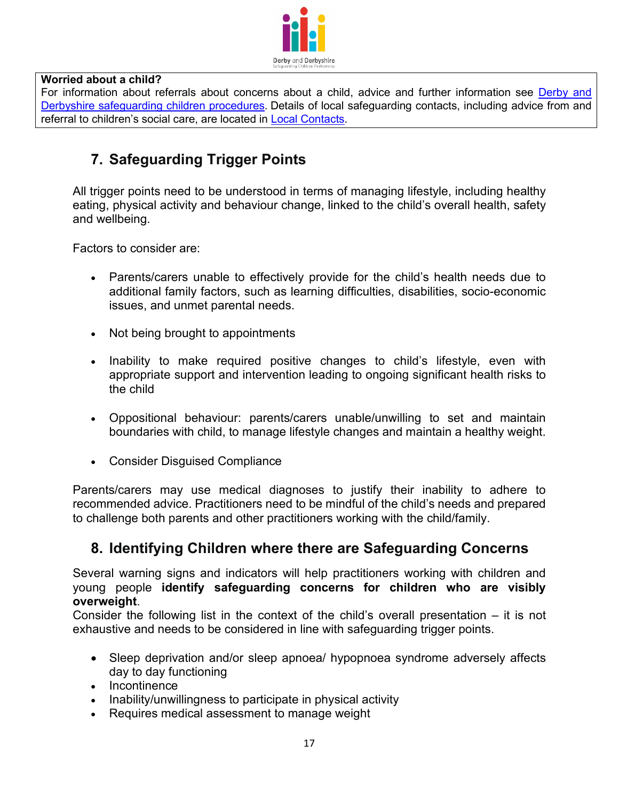

#### **Worried about a child?**

For information about referrals about concerns about a child, advice and further information see [Derby and](https://derbyshirescbs.proceduresonline.com/contents.html)  [Derbyshire safeguarding children procedures](https://derbyshirescbs.proceduresonline.com/contents.html). Details of local safeguarding contacts, including advice from and referral to children's social care, are located in [Local Contacts.](https://derbyshirescbs.proceduresonline.com/contacts.html)

# **7. Safeguarding Trigger Points**

All trigger points need to be understood in terms of managing lifestyle, including healthy eating, physical activity and behaviour change, linked to the child's overall health, safety and wellbeing.

Factors to consider are:

- Parents/carers unable to effectively provide for the child's health needs due to additional family factors, such as learning difficulties, disabilities, socio-economic issues, and unmet parental needs.
- Not being brought to appointments
- Inability to make required positive changes to child's lifestyle, even with appropriate support and intervention leading to ongoing significant health risks to the child
- Oppositional behaviour: parents/carers unable/unwilling to set and maintain boundaries with child, to manage lifestyle changes and maintain a healthy weight.
- Consider Disguised Compliance

Parents/carers may use medical diagnoses to justify their inability to adhere to recommended advice. Practitioners need to be mindful of the child's needs and prepared to challenge both parents and other practitioners working with the child/family.

#### **8. Identifying Children where there are Safeguarding Concerns**

Several warning signs and indicators will help practitioners working with children and young people **identify safeguarding concerns for children who are visibly overweight**.

Consider the following list in the context of the child's overall presentation – it is not exhaustive and needs to be considered in line with safeguarding trigger points.

- Sleep deprivation and/or sleep apnoea/ hypopnoea syndrome adversely affects day to day functioning
- Incontinence
- Inability/unwillingness to participate in physical activity
- Requires medical assessment to manage weight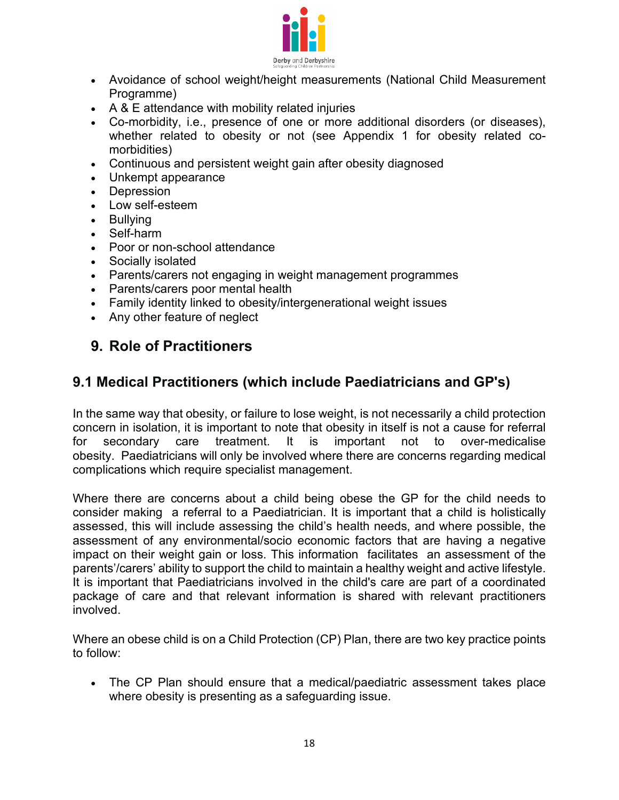

- Avoidance of school weight/height measurements (National Child Measurement Programme)
- A & E attendance with mobility related injuries
- Co-morbidity, i.e., presence of one or more additional disorders (or diseases), whether related to obesity or not (see Appendix 1 for obesity related comorbidities)
- Continuous and persistent weight gain after obesity diagnosed
- Unkempt appearance
- Depression
- Low self-esteem
- Bullying
- Self-harm
- Poor or non-school attendance
- Socially isolated
- Parents/carers not engaging in weight management programmes
- Parents/carers poor mental health
- Family identity linked to obesity/intergenerational weight issues
- Any other feature of neglect

# **9. Role of Practitioners**

#### **9.1 Medical Practitioners (which include Paediatricians and GP's)**

In the same way that obesity, or failure to lose weight, is not necessarily a child protection concern in isolation, it is important to note that obesity in itself is not a cause for referral for secondary care treatment. It is important not to over-medicalise obesity. Paediatricians will only be involved where there are concerns regarding medical complications which require specialist management.

Where there are concerns about a child being obese the GP for the child needs to consider making a referral to a Paediatrician. It is important that a child is holistically assessed, this will include assessing the child's health needs, and where possible, the assessment of any environmental/socio economic factors that are having a negative impact on their weight gain or loss. This information facilitates an assessment of the parents'/carers' ability to support the child to maintain a healthy weight and active lifestyle. It is important that Paediatricians involved in the child's care are part of a coordinated package of care and that relevant information is shared with relevant practitioners involved.

Where an obese child is on a Child Protection (CP) Plan, there are two key practice points to follow:

• The CP Plan should ensure that a medical/paediatric assessment takes place where obesity is presenting as a safeguarding issue.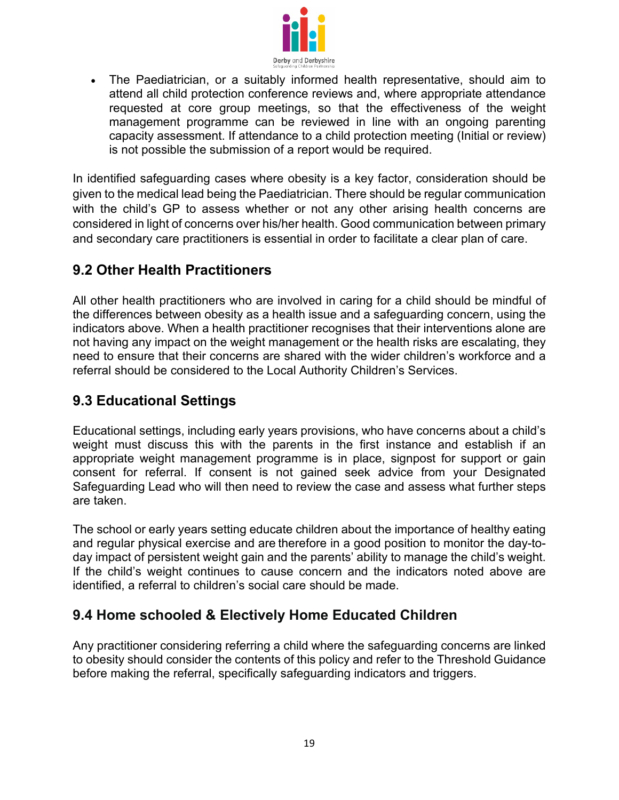

• The Paediatrician, or a suitably informed health representative, should aim to attend all child protection conference reviews and, where appropriate attendance requested at core group meetings, so that the effectiveness of the weight management programme can be reviewed in line with an ongoing parenting capacity assessment. If attendance to a child protection meeting (Initial or review) is not possible the submission of a report would be required.

In identified safeguarding cases where obesity is a key factor, consideration should be given to the medical lead being the Paediatrician. There should be regular communication with the child's GP to assess whether or not any other arising health concerns are considered in light of concerns over his/her health. Good communication between primary and secondary care practitioners is essential in order to facilitate a clear plan of care.

### **9.2 Other Health Practitioners**

All other health practitioners who are involved in caring for a child should be mindful of the differences between obesity as a health issue and a safeguarding concern, using the indicators above. When a health practitioner recognises that their interventions alone are not having any impact on the weight management or the health risks are escalating, they need to ensure that their concerns are shared with the wider children's workforce and a referral should be considered to the Local Authority Children's Services.

### **9.3 Educational Settings**

Educational settings, including early years provisions, who have concerns about a child's weight must discuss this with the parents in the first instance and establish if an appropriate weight management programme is in place, signpost for support or gain consent for referral. If consent is not gained seek advice from your Designated Safeguarding Lead who will then need to review the case and assess what further steps are taken.

The school or early years setting educate children about the importance of healthy eating and regular physical exercise and are therefore in a good position to monitor the day-today impact of persistent weight gain and the parents' ability to manage the child's weight. If the child's weight continues to cause concern and the indicators noted above are identified, a referral to children's social care should be made.

# **9.4 Home schooled & Electively Home Educated Children**

Any practitioner considering referring a child where the safeguarding concerns are linked to obesity should consider the contents of this policy and refer to the Threshold Guidance before making the referral, specifically safeguarding indicators and triggers.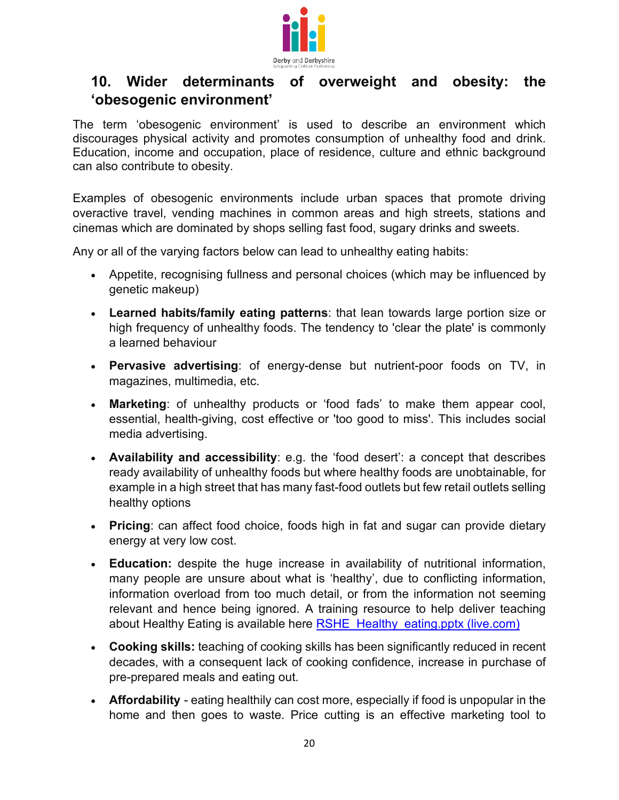

### **10. Wider determinants of overweight and obesity: the 'obesogenic environment'**

The term 'obesogenic environment' is used to describe an environment which discourages physical activity and promotes consumption of unhealthy food and drink. Education, income and occupation, place of residence, culture and ethnic background can also contribute to obesity.

Examples of obesogenic environments include urban spaces that promote driving overactive travel, vending machines in common areas and high streets, stations and cinemas which are dominated by shops selling fast food, sugary drinks and sweets.

Any or all of the varying factors below can lead to unhealthy eating habits:

- Appetite, recognising fullness and personal choices (which may be influenced by genetic makeup)
- **Learned habits/family eating patterns**: that lean towards large portion size or high frequency of unhealthy foods. The tendency to 'clear the plate' is commonly a learned behaviour
- **Pervasive advertising**: of energy-dense but nutrient-poor foods on TV, in magazines, multimedia, etc.
- **Marketing**: of unhealthy products or 'food fads' to make them appear cool, essential, health-giving, cost effective or 'too good to miss'. This includes social media advertising.
- **Availability and accessibility**: e.g. the 'food desert': a concept that describes ready availability of unhealthy foods but where healthy foods are unobtainable, for example in a high street that has many fast-food outlets but few retail outlets selling healthy options
- **Pricing**: can affect food choice, foods high in fat and sugar can provide dietary energy at very low cost.
- **Education:** despite the huge increase in availability of nutritional information, many people are unsure about what is 'healthy', due to conflicting information, information overload from too much detail, or from the information not seeming relevant and hence being ignored. A training resource to help deliver teaching about Healthy Eating is available here [RSHE\\_Healthy\\_eating.pptx \(live.com\)](https://view.officeapps.live.com/op/view.aspx?src=https%3A%2F%2Fassets.publishing.service.gov.uk%2Fgovernment%2Fuploads%2Fsystem%2Fuploads%2Fattachment_data%2Ffile%2F963158%2FRSHE_Healthy_eating.pptx&wdOrigin=BROWSELINK)
- **Cooking skills:** teaching of cooking skills has been significantly reduced in recent decades, with a consequent lack of cooking confidence, increase in purchase of pre-prepared meals and eating out.
- **Affordability** eating healthily can cost more, especially if food is unpopular in the home and then goes to waste. Price cutting is an effective marketing tool to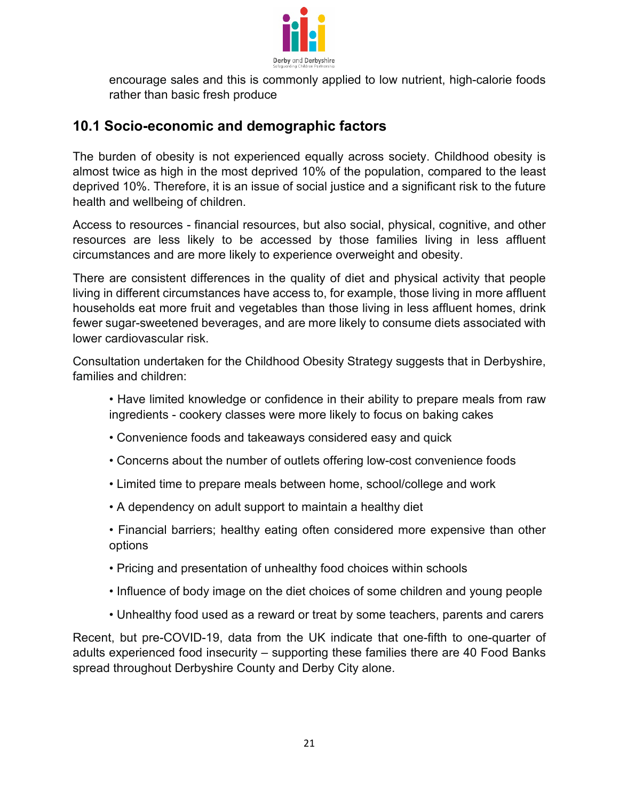

encourage sales and this is commonly applied to low nutrient, high-calorie foods rather than basic fresh produce

### **10.1 Socio-economic and demographic factors**

The burden of obesity is not experienced equally across society. Childhood obesity is almost twice as high in the most deprived 10% of the population, compared to the least deprived 10%. Therefore, it is an issue of social justice and a significant risk to the future health and wellbeing of children.

Access to resources - financial resources, but also social, physical, cognitive, and other resources are less likely to be accessed by those families living in less affluent circumstances and are more likely to experience overweight and obesity.

There are consistent differences in the quality of diet and physical activity that people living in different circumstances have access to, for example, those living in more affluent households eat more fruit and vegetables than those living in less affluent homes, drink fewer sugar-sweetened beverages, and are more likely to consume diets associated with lower cardiovascular risk.

Consultation undertaken for the Childhood Obesity Strategy suggests that in Derbyshire, families and children:

• Have limited knowledge or confidence in their ability to prepare meals from raw ingredients - cookery classes were more likely to focus on baking cakes

- Convenience foods and takeaways considered easy and quick
- Concerns about the number of outlets offering low-cost convenience foods
- Limited time to prepare meals between home, school/college and work
- A dependency on adult support to maintain a healthy diet

• Financial barriers; healthy eating often considered more expensive than other options

- Pricing and presentation of unhealthy food choices within schools
- Influence of body image on the diet choices of some children and young people
- Unhealthy food used as a reward or treat by some teachers, parents and carers

Recent, but pre-COVID-19, data from the UK indicate that one-fifth to one-quarter of adults experienced food insecurity – supporting these families there are 40 Food Banks spread throughout Derbyshire County and Derby City alone.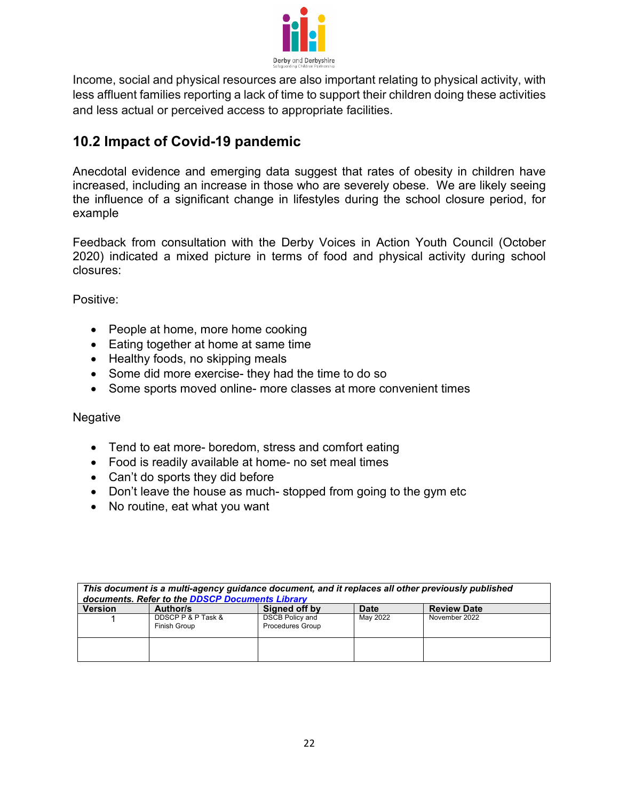

Income, social and physical resources are also important relating to physical activity, with less affluent families reporting a lack of time to support their children doing these activities and less actual or perceived access to appropriate facilities.

### **10.2 Impact of Covid-19 pandemic**

Anecdotal evidence and emerging data suggest that rates of obesity in children have increased, including an increase in those who are severely obese. We are likely seeing the influence of a significant change in lifestyles during the school closure period, for example

Feedback from consultation with the Derby Voices in Action Youth Council (October 2020) indicated a mixed picture in terms of food and physical activity during school closures:

Positive:

- People at home, more home cooking
- Eating together at home at same time
- Healthy foods, no skipping meals
- Some did more exercise- they had the time to do so
- Some sports moved online- more classes at more convenient times

#### Negative

- Tend to eat more- boredom, stress and comfort eating
- Food is readily available at home- no set meal times
- Can't do sports they did before
- Don't leave the house as much-stopped from going to the gym etc
- No routine, eat what you want

| This document is a multi-agency guidance document, and it replaces all other previously published<br>documents. Refer to the DDSCP Documents Library |                                    |                                                   |          |                    |
|------------------------------------------------------------------------------------------------------------------------------------------------------|------------------------------------|---------------------------------------------------|----------|--------------------|
| <b>Version</b>                                                                                                                                       | Author/s                           | Signed off by                                     | Date     | <b>Review Date</b> |
|                                                                                                                                                      | DDSCP P & P Task &<br>Finish Group | <b>DSCB Policy and</b><br><b>Procedures Group</b> | May 2022 | November 2022      |
|                                                                                                                                                      |                                    |                                                   |          |                    |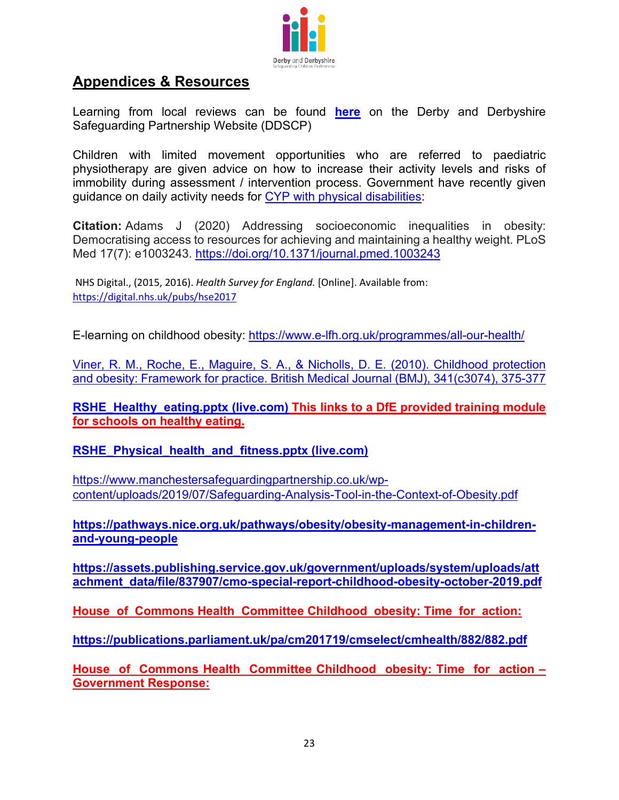

#### **Appendices & Resources**

Learning from local reviews can be found **[here](https://www.ddscp.org.uk/media/derby-scb/content-assets/documents/serious-case-reviews/DDSCP_Briefing_Note_SILR17B_Final_September_2019.pdf)** on the Derby and Derbyshire Safeguarding Partnership Website (DDSCP)

Children with limited movement opportunities who are referred to paediatric physiotherapy are given advice on how to increase their activity levels and risks of immobility during assessment / intervention process. Government have recently given guidance on daily activity needs for [CYP with physical disabilities:](https://assets.publishing.service.gov.uk/government/uploads/system/uploads/attachment_data/file/1055018/infographic-physical-activity-for-disabled-children-and-disabled-young-people.pdf)

**Citation:** Adams J (2020) Addressing socioeconomic inequalities in obesity: Democratising access to resources for achieving and maintaining a healthy weight. PLoS Med 17(7): e1003243.<https://doi.org/10.1371/journal.pmed.1003243>

NHS Digital., (2015, 2016). *Health Survey for England.* [Online]. Available from: https://digital.nhs.uk/pubs/hse2017

E-learning on childhood obesity:<https://www.e-lfh.org.uk/programmes/all-our-health/>

Viner, R. M., Roche, E., Maguire, S. A., & Nicholls, D. E. (2010). Childhood protection and obesity: Framework for practice. British Medical Journal (BMJ), 341(c3074), 375-377

**[RSHE\\_Healthy\\_eating.pptx \(live.com\)](https://view.officeapps.live.com/op/view.aspx?src=https%3A%2F%2Fassets.publishing.service.gov.uk%2Fgovernment%2Fuploads%2Fsystem%2Fuploads%2Fattachment_data%2Ffile%2F963158%2FRSHE_Healthy_eating.pptx&wdOrigin=BROWSELINK) This links to a DfE provided training module for schools on healthy eating.**

**[RSHE\\_Physical\\_health\\_and\\_fitness.pptx \(live.com\)](https://view.officeapps.live.com/op/view.aspx?src=https%3A%2F%2Fassets.publishing.service.gov.uk%2Fgovernment%2Fuploads%2Fsystem%2Fuploads%2Fattachment_data%2Ffile%2F934280%2FRSHE_Physical_health_and_fitness.pptx&wdOrigin=BROWSELINK)**

[https://www.manchestersafeguardingpartnership.co.uk/wp](https://www.manchestersafeguardingpartnership.co.uk/wp-content/uploads/2019/07/Safeguarding-Analysis-Tool-in-the-Context-of-Obesity.pdf)[content/uploads/2019/07/Safeguarding-Analysis-Tool-in-the-Context-of-Obesity.pdf](https://www.manchestersafeguardingpartnership.co.uk/wp-content/uploads/2019/07/Safeguarding-Analysis-Tool-in-the-Context-of-Obesity.pdf)

**[https://pathways.nice.org.uk/pathways/obesity/obesity-management-in-children](https://pathways.nice.org.uk/pathways/obesity/obesity-management-in-children-and-young-people)[and-young-people](https://pathways.nice.org.uk/pathways/obesity/obesity-management-in-children-and-young-people)**

**[https://assets.publishing.service.gov.uk/government/uploads/system/uploads/att](https://assets.publishing.service.gov.uk/government/uploads/system/uploads/attachment_data/file/837907/cmo-special-report-childhood-obesity-october-2019.pdf) [achment\\_data/file/837907/cmo-special-report-childhood-obesity-october-2019.pdf](https://assets.publishing.service.gov.uk/government/uploads/system/uploads/attachment_data/file/837907/cmo-special-report-childhood-obesity-october-2019.pdf)**

**House of Commons Health Committee Childhood obesity: Time for action:**

**<https://publications.parliament.uk/pa/cm201719/cmselect/cmhealth/882/882.pdf>**

**House of Commons Health Committee Childhood obesity: Time for action – Government Response:**